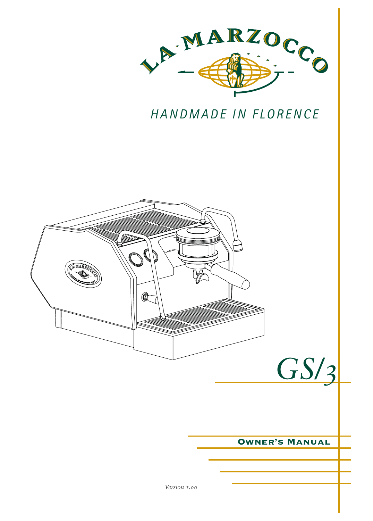

# *HANDMADE IN FLORENCE*

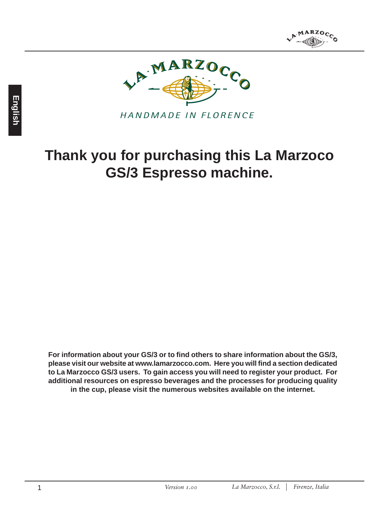

# **Thank you for purchasing this La Marzoco GS/3 Espresso machine.**

For information about your GS/3 or to find others to share information about the GS/3, **please visit our website at www.lamarzocco.com. Here you will fi nd a section dedicated to La Marzocco GS/3 users. To gain access you will need to register your product. For additional resources on espresso beverages and the processes for producing quality in the cup, please visit the numerous websites available on the internet.** 

**English**

1 *Version 1.00 La Marzocco, S.r.l. Firenze, Italia*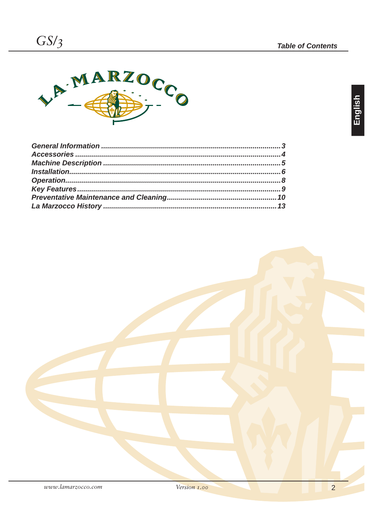English

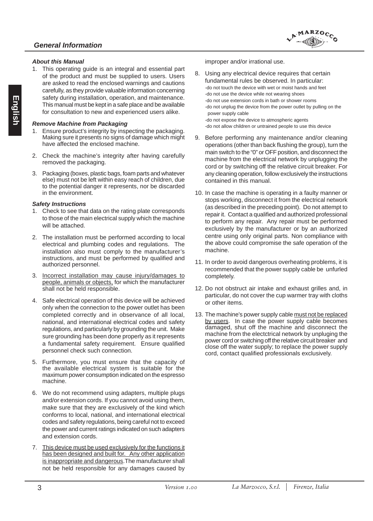

## *About this Manual*

1. This operating guide is an integral and essential part of the product and must be supplied to users. Users are asked to read the enclosed warnings and cautions carefully, as they provide valuable information concerning safety during installation, operation, and maintenance. This manual must be kept in a safe place and be available for consultation to new and experienced users alike.

### *Remove Machine from Packaging*

- Ensure product's integrity by inspecting the packaging. Making sure it presents no signs of damage which might have affected the enclosed machine. 1.
- 2. Check the machine's integrity after having carefully removed the packaging.
- Packaging (boxes, plastic bags, foam parts and whatever 3. else) must not be left within easy reach of children, due to the potential danger it represents, nor be discarded in the environment.

### *Safety Instructions*

- Check to see that data on the rating plate corresponds 1. to those of the main electrical supply which the machine will be attached.
- The installation must be performed according to local 2. electrical and plumbing codes and regulations. The installation also must comply to the manufacturer's instructions, and must be performed by qualified and authorized personnel.
- Incorrect installation may cause injury/damages to people, animals or objects, for which the manufacturer shall not be held responsible. 3.
- 4. Safe electrical operation of this device will be achieved only when the connection to the power outlet has been completed correctly and in observance of all local, national, and international electrical codes and safety regulations, and particularly by grounding the unit. Make sure grounding has been done properly as it represents a fundamental safety requirement. Ensure qualified personnel check such connection.
- 5. Furthermore, you must ensure that the capacity of the available electrical system is suitable for the maximum power consumption indicated on the espresso machine.
- We do not recommend using adapters, multiple plugs 6. and/or extension cords. If you cannot avoid using them, make sure that they are exclusively of the kind which conforms to local, national, and international electrical codes and safety regulations, being careful not to exceed the power and current ratings indicated on such adapters and extension cords.
- 7. This device must be used exclusively for the functions it has been designed and built for. Any other application is inappropriate and dangerous.The manufacturer shall not be held responsible for any damages caused by

improper and/or irrational use.

- Using any electrical device requires that certain fundamental rules be observed. In particular: -do not touch the device with wet or moist hands and feet -do not use the device while not wearing shoes -do not use extension cords in bath or shower rooms -do not unplug the device from the power outlet by pulling on the power supply cable -do not expose the device to atmospheric agents -do not allow children or untrained people to use this device 8.
- Before performing any maintenance and/or cleaning operations (other than back flushing the group), turn the main switch to the "0" or OFF position, and disconnect the machine from the electrical network by unplugging the cord or by switching off the relative circuit breaker. For any cleaning operation, follow exclusively the instructions contained in this manual. 9.
- 10. In case the machine is operating in a faulty manner or stops working, disconnect it from the electrical network (as described in the preceding point). Do not attempt to repair it. Contact a qualified and authorized professional to perform any repair. Any repair must be performed exclusively by the manufacturer or by an authorized centre using only original parts. Non compliance with the above could compromise the safe operation of the machine.
- 11. In order to avoid dangerous overheating problems, it is recommended that the power supply cable be unfurled completely.
- 12. Do not obstruct air intake and exhaust grilles and, in particular, do not cover the cup warmer tray with cloths or other items.
- 13. The machine's power supply cable must not be replaced by users. In case the power supply cable becomes damaged, shut off the machine and disconnect the machine from the electctrical network by unpluging the power cord or switching off the relative circuit breaker and close off the water supply; to replace the power supply cord, contact qualified professionals exclusively.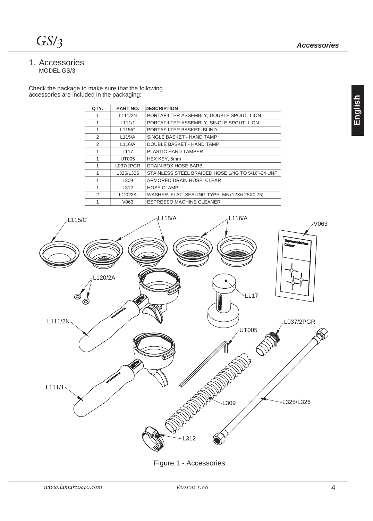## 1. Accessories MODEL GS/3

Check the package to make sure that the following accessories are included in the packaging:

| QTY.          | <b>PART NO.</b>  | <b>DESCRIPTION</b>                                |
|---------------|------------------|---------------------------------------------------|
|               | L111/2N          | PORTAFILTER ASSEMBLY, DOUBLE SPOUT, LION          |
| 1             | L111/1           | PORTAFILTER ASSEMBLY, SINGLE SPOUT, LION          |
| 1             | L115/C           | PORTAFILTER BASKET, BLIND                         |
| $\mathcal{P}$ | L115/A           | SINGLE BASKET - HAND TAMP                         |
| $\mathcal{P}$ | L116/A           | DOUBLE BASKET - HAND TAMP                         |
| 1             | L <sub>117</sub> | PLASTIC HAND TAMPER                               |
| 1             | UT005            | HEX KEY, 5mm                                      |
| 1             | L037/2PGR        | DRAIN BOX HOSE BARB                               |
| 1             | L325/L326        | STAINLESS STEEL BRAIDED HOSE 1/4G TO 5/16"-24 UNF |
| 1             | L <sub>309</sub> | ARMORED DRAIN HOSE, CLEAR                         |
| 1             | L312             | <b>HOSE CLAMP</b>                                 |
| $\mathcal{P}$ | L120/2A          | WASHER, FLAT, SEALING TYPE, M6 (12X6.25X0.75)     |
|               | V063             | <b>ESPRESSO MACHINE CLEANER</b>                   |



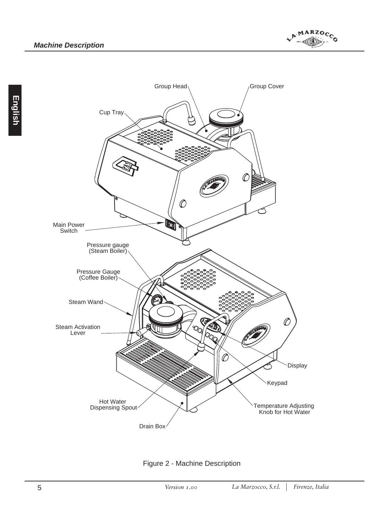



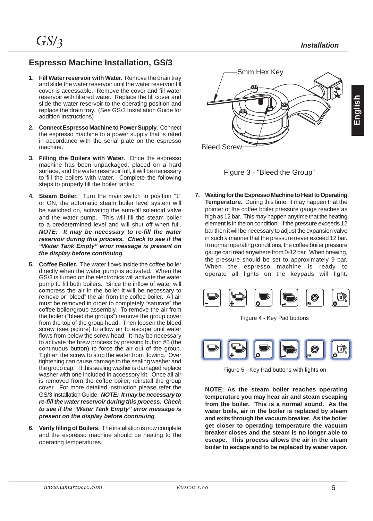## **Espresso Machine Installation, GS/3**

- **Fill Water reservoir with Water.** Remove the drain tray **1.** and slide the water reservoir until the water reservoir fill cover is accessable. Remove the cover and fill water reservoir with filtered water. Replace the fill cover and slide the water reservoir to the operating position and replace the drain tray. (See GS/3 Installation Guide for addition instructions)
- **Connect Espresso Machine to Power Supply**. Connect **2.** the espresso machine to a power supply that is rated in accordance with the serial plate on the espresso machine.
- **Filling the Boilers with Water.** Once the espresso **3.** machine has been unpackaged, placed on a hard surface, and the water reservoir full, it will be necessary to fill the boilers with water. Complete the following steps to properly fill the boiler tanks:
- **Steam Boiler.** Turn the main switch to position "1" **4.** or ON, the automatic steam boiler level system will be switched on, activating the auto-fill solenoid valve and the water pump. This will fill the steam boiler to a predetermined level and will shut off when full. *NOTE:* It may be necessary to re-*fill the water reservoir during this process. Check to see if the "Water Tank Empty" error message is present on the display before continuing.*
- 5. Coffee Boiler. The water flows inside the coffee boiler directly when the water pump is activated. When the GS/3 is turned on the electronics will activate the water pump to fill both boilers. Since the inflow of water will compress the air in the boiler it will be necessary to remove or "bleed" the air from the coffee boiler. All air must be removed in order to completely "saturate" the coffee boiler/group assembly. To remove the air from the boiler ("bleed the groups") remove the group cover from the top of the group head. Then loosen the bleed screw (see picture) to allow air to escape until water flows from below the screw head. It may be necessary to activate the brew process by pressing button #5 (the continuous button) to force the air out of the group. Tighten the screw to stop the water from flowing. Over tightening can cause damage to the sealing washer and the group cap. If this sealing washer is damaged replace washer with one included in accessory kit. Once all air is removed from the coffee boiler, reinstall the group cover. For more detailed instruction please refer the GS/3 Installation Guide. *NOTE: It may be necessary to re-fi ll the water reservoir during this process. Check to see if the "Water Tank Empty" error message is present on the display before continuing.*
- **Verify fi lling of Boilers.** The installation is now complete **6.** and the espresso machine should be heating to the operating temperatures.

5mm Hex Key Bleed Screw



**Waiting for the Espresso Machine to Heat to Operating 7. Temperature.** During this time, it may happen that the pointer of the coffee boiler pressure gauge reaches as high as 12 bar. This may happen anytime that the heating element is in the on condition. If the pressure exceeds 12 bar then it will be necessary to adjust the expansion valve in such a manner that the pressure never exceed 12 bar. In normal operating conditions, the coffee boiler pressure gauge can read anywhere from 0-12 bar. When brewing, the pressure should be set to approximately 9 bar. When the espresso machine is ready to operate all lights on the keypads will light.







Figure 5 - Key Pad buttons with lights on

**NOTE: As the steam boiler reaches operating temperature you may hear air and steam escaping from the boiler. This is a normal sound. As the water boils, air in the boiler is replaced by steam and exits through the vacuum breaker. As the boiler get closer to operating temperature the vacuum breaker closes and the steam is no longer able to escape. This process allows the air in the steam boiler to escape and to be replaced by water vapor.**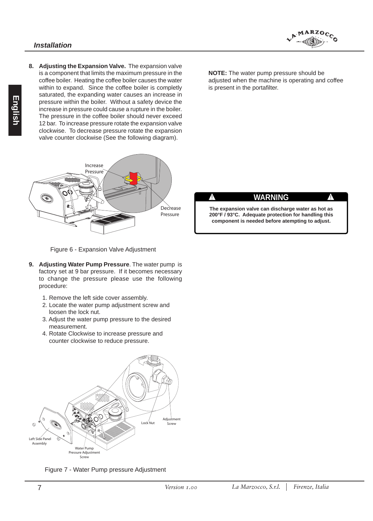

**Adjusting the Expansion Valve.** The expansion valve **8.** is a component that limits the maximum pressure in the coffee boiler. Heating the coffee boiler causes the water within to expand. Since the coffee boiler is completly saturated, the expanding water causes an increase in pressure within the boiler. Without a safety device the increase in pressure could cause a rupture in the boiler. The pressure in the coffee boiler should never exceed 12 bar. To increase pressure rotate the expansion valve clockwise. To decrease pressure rotate the expansion valve counter clockwise (See the following diagram).



**NOTE:** The water pump pressure should be adjusted when the machine is operating and coffee is present in the portafilter.

## ! **WARNING** !

**The expansion valve can discharge water as hot as 200°F / 93°C. Adequate protection for handling this component is needed before atempting to adjust.** 

Figure 6 - Expansion Valve Adjustment

- **Adjusting Water Pump Pressure**. The water pump is **9.** factory set at 9 bar pressure. If it becomes necessary to change the pressure please use the following procedure:
	- 1. Remove the left side cover assembly.
	- 2. Locate the water pump adjustment screw and loosen the lock nut.
	- 3. Adjust the water pump pressure to the desired measurement.
	- 4. Rotate Clockwise to increase pressure and counter clockwise to reduce pressure.



Figure 7 - Water Pump pressure Adjustment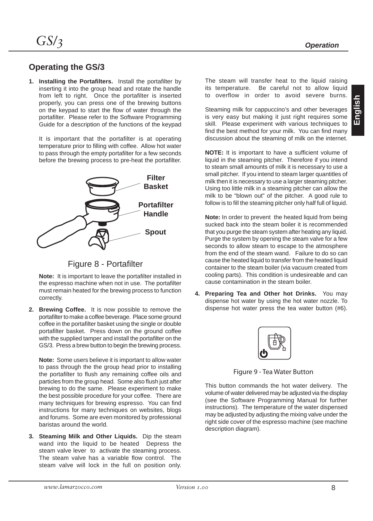## **Operating the GS/3**

1. Installing the Portafilters. Install the portafilter by inserting it into the group head and rotate the handle from left to right. Once the portafilter is inserted properly, you can press one of the brewing buttons on the keypad to start the flow of water through the portafilter. Please refer to the Software Programming Guide for a description of the functions of the keypad

It is important that the portafilter is at operating temperature prior to filling with coffee. Allow hot water to pass through the empty portafilter for a few seconds before the brewing process to pre-heat the portafilter.



## Figure 8 - Portafilter

**Note:** It is important to leave the portafilter installed in the espresso machine when not in use. The portafilter must remain heated for the brewing process to function correctly.

**Brewing Coffee.** It is now possible to remove the **2.** portafilter to make a coffee beverage. Place some ground coffee in the portafilter basket using the single or double portafilter basket. Press down on the ground coffee with the supplied tamper and install the portafilter on the GS/3. Press a brew button to begin the brewing process.

**Note:** Some users believe it is important to allow water to pass through the the group head prior to installing the portafilter to flush any remaining coffee oils and particles from the group head. Some also flush just after brewing to do the same. Please experiment to make the best possible procedure for your coffee. There are many techniques for brewing espresso. You can find instructions for many techniques on websites, blogs and forums. Some are even monitored by professional baristas around the world.

**Steaming Milk and Other Liquids.** Dip the steam **3.** wand into the liquid to be heated Depress the steam valve lever to activate the steaming process. The steam valve has a variable flow control. The steam valve will lock in the full on position only.

The steam will transfer heat to the liquid raising its temperature. Be careful not to allow liquid to overflow in order to avoid severe burns.

Steaming milk for cappuccino's and other beverages is very easy but making it just right requires some skill. Please experiment with various techniques to find the best method for your milk. You can find many discussion about the steaming of milk on the internet.

**NOTE:** It is important to have a sufficient volume of liquid in the steaming pitcher. Therefore if you intend to steam small amounts of milk it is necessary to use a small pitcher. If you intend to steam larger quantitles of milk then it is necessary to use a larger steaming pitcher. Using too little milk in a steaming pitcher can allow the milk to be "blown out" of the pitcher. A good rule to follow is to fill the steaming pitcher only half full of liquid.

**Note:** In order to prevent the heated liquid from being sucked back into the steam boiler it is recommended that you purge the steam system after heating any liquid. Purge the system by opening the steam valve for a few seconds to allow steam to escape to the atmosphere from the end of the steam wand. Failure to do so can cause the heated liquid to transfer from the heated liquid container to the steam boiler (via vacuum created from cooling parts). This condition is undesireable and can cause contamination in the steam boiler.

**Preparing Tea and Other hot Drinks.** You may **4.** dispense hot water by using the hot water nozzle. To dispense hot water press the tea water button (#6).



Figure 9 - Tea Water Button

This button commands the hot water delivery. The volume of water delivered may be adjusted via the display (see the Software Programming Manual for further instructions). The temperature of the water dispensed may be adjusted by adjusting the mixing valve under the right side cover of the espresso machine (see machine description diagram).

**English**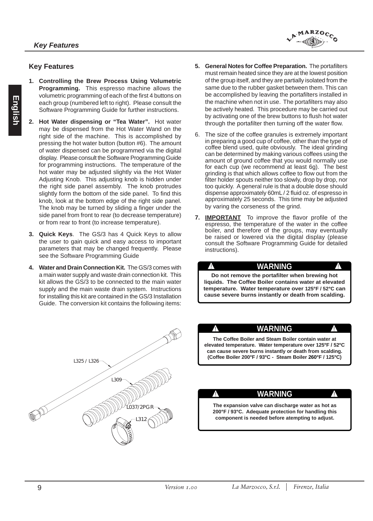

## **Key Features**

- **Controlling the Brew Process Using Volumetric 1. Programming.** This espresso machine allows the volumetric programming of each of the first 4 buttons on each group (numbered left to right). Please consult the Software Programming Guide for further instructions.
- **Hot Water dispensing or "Tea Water".** Hot water **2.** may be dispensed from the Hot Water Wand on the right side of the machine. This is accomplished by pressing the hot water button (button #6). The amount of water dispensed can be programmed via the digital display. Please consult the Software Programming Guide for programming instructions. The temperature of the hot water may be adjusted slightly via the Hot Water Adjusting Knob. This adjusting knob is hidden under the right side panel assembly. The knob protrudes slightly form the bottom of the side panel. To find this knob, look at the bottom edge of the right side panel. The knob may be turned by sliding a finger under the side panel from front to rear (to decrease temperature) or from rear to front (to increase temperature).
- **Quick Keys**. The GS/3 has 4 Quick Keys to allow **3.** the user to gain quick and easy access to important parameters that may be changed frequently. Please see the Software Programming Guide
- **4. Water and Drain Connection Kit.** The GS/3 comes with **1996. In the UNARNING 1997.** a main water supply and waste drain connection kit. This kit allows the GS/3 to be connected to the main water supply and the main waste drain system. Instructions for installing this kit are contained in the GS/3 Installation Guide. The conversion kit contains the following items:



- 5. General Notes for Coffee Preparation. The portafilters must remain heated since they are at the lowest position of the group itself, and they are partially isolated from the same due to the rubber gasket between them. This can be accomplished by leaving the portafilters installed in the machine when not in use. The portafilters may also be actively heated. This procedure may be carried out by activating one of the brew buttons to flush hot water through the portafilter then turning off the water flow.
- The size of the coffee granules is extremely important 6. in preparing a good cup of coffee, other than the type of coffee blend used, quite obviously. The ideal grinding can be determined by making various coffees using the amount of ground coffee that you would normally use for each cup (we recommend at least 6g). The best grinding is that which allows coffee to flow out from the filter holder spouts neither too slowly, drop by drop, nor too quickly. A general rule is that a double dose should dispense approximately 60mL/2 fluid oz. of espresso in approximately 25 seconds. This time may be adjusted by varing the corseness of the grind.
- 7. **IMPORTANT** To improve the flavor profile of the espresso, the temperature of the water in the coffee boiler, and therefore of the groups, may eventually be raised or lowered via the digital display (please consult the Software Programming Guide for detailed instructions).

**Do not remove the portafilter when brewing hot liquids. The Coffee Boiler contains water at elevated temperature. Water temperature over 125°F / 52°C can cause severe burns instantly or death from scalding.**

! **WARNING** ! **The Coffee Boiler and Steam Boiler contain water at elevated temperature. Water temperature over 125°F / 52°C can cause severe burns instantly or death from scalding. (Coffee Boiler 200°F / 93°C - Steam Boiler 260°F / 125°C)** 



**The expansion valve can discharge water as hot as 200°F / 93°C. Adequate protection for handling this component is needed before atempting to adjust.**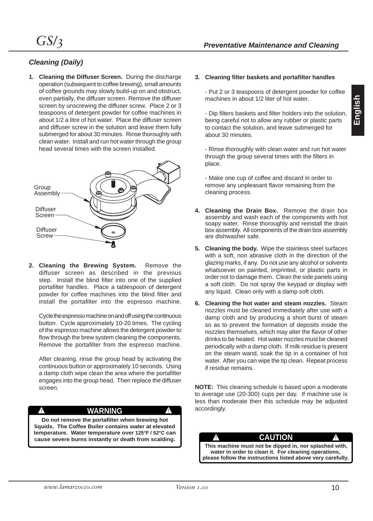## *Cleaning (Daily)*

**Cleaning the Diffuser Screen.** During the discharge **1.** operation (subsequent to coffee brewing), small amounts of coffee grounds may slowly build-up on and obstruct, even partially, the diffuser screen. Remove the diffuser screen by unscrewing the diffuser screw. Place 2 or 3 teaspoons of detergent powder for coffee machines in about 1/2 a litre of hot water. Place the diffuser screen and diffuser screw in the solution and leave them fully submerged for about 30 minutes. Rinse thoroughly with clean water. Install and run hot water through the group head several times with the screen installed.



**Cleaning the Brewing System.** Remove the **2.** diffuser screen as described in the previous step. Install the blind filter into one of the supplied portafilter handles. Place a tablespoon of detergent powder for coffee machines into the blind filter and install the portafilter into the espresso machine.

Cycle the espresso machine on and off using the continuous button. Cycle approximately 10-20 times. The cycling of the espresso machine allows the detergent powder to flow through the brew system cleaning the components. Remove the portafilter from the espresso machine.

After cleaning, rinse the group head by activating the continuous button or approximately 10 seconds. Using a damp cloth wipe clean the area where the portafilter engages into the group head. Then replace the diffuser screen.

## ! **WARNING** !

**Do not remove the portafilter when brewing hot liquids. The Coffee Boiler contains water at elevated temperature. Water temperature over 125°F / 52°C can cause severe burns instantly or death from scalding.**

### **Cleaning fi lter baskets and portafi lter handles 3.**

- Put 2 or 3 teaspoons of detergent powder for coffee machines in about 1/2 liter of hot water.

- Dip filters baskets and filter holders into the solution. being careful not to allow any rubber or plastic parts to contact the solution, and leave submerged for about 30 minutes.

- Rinse thoroughly with clean water and run hot water through the group several times with the filters in place.

- Make one cup of coffee and discard in order to remove any unpleasant flavor remaining from the cleaning process.

- **Cleaning the Drain Box.** Remove the drain box **4.** assembly and wash each of the components with hot soapy water. Rinse thoroughly and reinstall the drain box assembly. All components of the drain box assembly are dishwasher safe.
- **Cleaning the body.** Wipe the stainless steel surfaces **5.** with a soft, non abrasive cloth in the direction of the glazing marks, if any. Do not use any alcohol or solvents whatsoever on painted, imprinted, or plastic parts in order not to damage them. Clean the side panels using a soft cloth. Do not spray the keypad or display with any liquid. Clean only with a damp soft cloth.
- **Cleaning the hot water and steam nozzles.** Steam **6.** nozzles must be cleaned immediately after use with a damp cloth and by producing a short burst of steam so as to prevent the formation of deposits inside the nozzles themselves, which may alter the flavor of other drinks to be heated. Hot water nozzles must be cleaned periodically with a damp cloth. If milk residue is present on the steam wand, soak the tip in a container of hot water. After you can wipe the tip clean. Repeat process if residue remains.

**NOTE:** This cleaning schedule is based upon a moderate to average use (20-300) cups per day. If machine use is less than moderate then this schedule may be adjusted accordingly.

## ! **CAUTION** !

**This machine must not be dipped in, nor splashed with, water in order to clean it. For cleaning operations, please follow the instructions listed above very carefully.**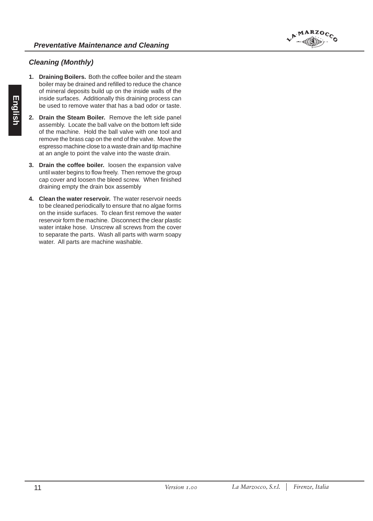

## *Cleaning (Monthly)*

- **Draining Boilers.** Both the coffee boiler and the steam **1.** boiler may be drained and refilled to reduce the chance of mineral deposits build up on the inside walls of the inside surfaces. Additionally this draining process can be used to remove water that has a bad odor or taste.
- **Drain the Steam Boiler.** Remove the left side panel **2.** assembly. Locate the ball valve on the bottom left side of the machine. Hold the ball valve with one tool and remove the brass cap on the end of the valve. Move the espresso machine close to a waste drain and tip machine at an angle to point the valve into the waste drain.
- **Drain the coffee boiler.** loosen the expansion valve **3.** until water begins to flow freely. Then remove the group cap cover and loosen the bleed screw. When finished draining empty the drain box assembly
- **Clean the water reservoir.** The water reservoir needs **4.** to be cleaned periodically to ensure that no algae forms on the inside surfaces. To clean first remove the water reservoir form the machine. Disconnect the clear plastic water intake hose. Unscrew all screws from the cover to separate the parts. Wash all parts with warm soapy water. All parts are machine washable.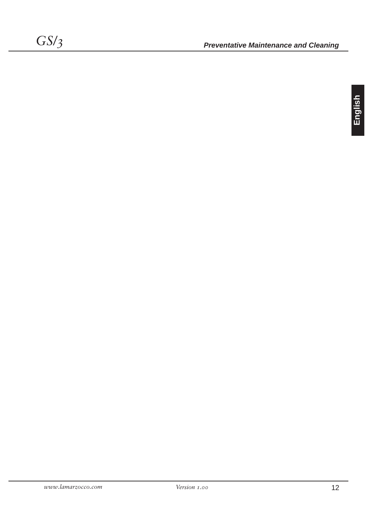*www.lamarzocco.com* Version 1.00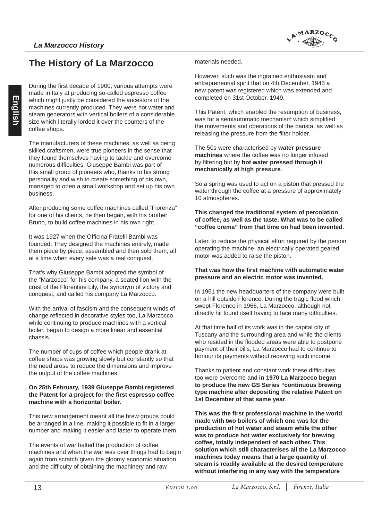

## **The History of La Marzocco**

During the first decade of 1900, various attempts were made in Italy at producing so-called espresso coffee which might justly be considered the ancestors of the machines currently produced. They were hot water and steam generators with vertical boilers of a considerable size which literally lorded it over the counters of the coffee shops.

The manufacturers of these machines, as well as being skilled craftsmen, were true pioneers in the sense that they found themselves having to tackle and overcome numerous difficulties: Giuseppe Bambi was part of this small group of pioneers who, thanks to his strong personality and wish to create something of his own, managed to open a small workshop and set up his own business.

After producing some coffee machines called "Fiorenza" for one of his clients, he then began, with his brother Bruno, to build coffee machines in his own right.

It was 1927 when the Officina Fratelli Bambi was founded. They designed the machines entirely, made them piece by piece, assembled and then sold them, all at a time when every sale was a real conquest.

That's why Giuseppe Bambi adopted the symbol of the "Marzocco" for his company, a seated lion with the crest of the Florentine Lily, the synonym of victory and conquest, and called his company La Marzocco.

With the arrival of fascism and the consequent winds of change reflected in decorative styles too, La Marzocco, while continuing to produce machines with a vertical boiler, began to design a more linear and essential chassis.

The number of cups of coffee which people drank at coffee shops was growing slowly but constantly so that the need arose to reduce the dimensions and improve the output of the coffee machines.

### **On 25th February, 1939 Giuseppe Bambi registered the Patent for a project for the fi rst espresso coffee machine with a horizontal boiler.**

This new arrangement meant all the brew groups could be arranged in a line, making it possible to fit in a larger number and making it easier and faster to operate them.

The events of war halted the production of coffee machines and when the war was over things had to begin again from scratch given the gloomy economic situation and the difficulty of obtaining the machinery and raw

materials needed.

However, such was the ingrained enthusiasm and entrepreneurial spirit that on 4th December, 1945 a new patent was registered which was extended and completed on 31st October, 1949.

This Patent, which enabled the resumption of business, was for a semiautomatic mechanism which simplified the movements and operations of the barista, as well as releasing the pressure from the filter holder.

The 50s were characterised by **water pressure machines** where the coffee was no longer infused by filtering but by **hot water pressed through it mechanically at high pressure**.

So a spring was used to act on a piston that pressed the water through the coffee at a pressure of approximately 10 atmospheres.

### **This changed the traditional system of percolation of coffee, as well as the taste. What was to be called "coffee crema" from that time on had been invented.**

Later, to reduce the physical effort required by the person operating the machine, an electrically operated geared motor was added to raise the piston.

### **That was how the first machine with automatic water pressure and an electric motor was invented.**

In 1961 the new headquarters of the company were built on a hill outside Florence. During the tragic flood which swept Florence in 1966, La Marzocco, although not directly hit found itself having to face many difficulties.

At that time half of its work was in the capital city of Tuscany and the surrounding area and while the clients who resided in the flooded areas were able to postpone payment of their bills, La Marzocco had to continue to honour its payments without receiving such income.

Thanks to patient and constant work these difficulties too were overcome and **in 1970 La Marzocco began to produce the new GS Series "continuous brewing type machine after depositing the relative Patent on 1st December of that same year**.

**This was the first professional machine in the world made with two boilers of which one was for the production of hot water and steam while the other was to produce hot water exclusively for brewing coffee, totally independent of each other. This solution which still characterises all the La Marzocco machines today means that a large quantity of steam is readily available at the desired temperature without interfering in any way with the temperature**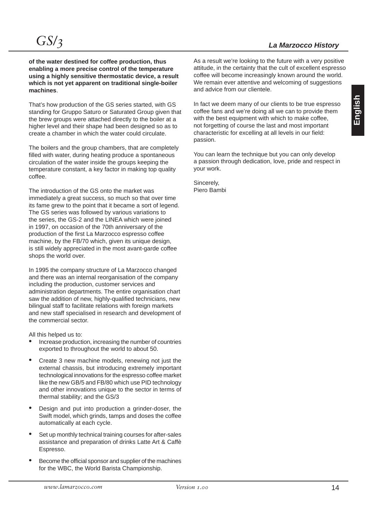### **of the water destined for coffee production, thus enabling a more precise control of the temperature using a highly sensitive thermostatic device, a result which is not yet apparent on traditional single-boiler machines**.

That's how production of the GS series started, with GS standing for Gruppo Saturo or Saturated Group given that the brew groups were attached directly to the boiler at a higher level and their shape had been designed so as to create a chamber in which the water could circulate.

The boilers and the group chambers, that are completely filled with water, during heating produce a spontaneous circulation of the water inside the groups keeping the temperature constant, a key factor in making top quality coffee.

The introduction of the GS onto the market was immediately a great success, so much so that over time its fame grew to the point that it became a sort of legend. The GS series was followed by various variations to the series, the GS-2 and the LINEA which were joined in 1997, on occasion of the 70th anniversary of the production of the first La Marzocco espresso coffee machine, by the FB/70 which, given its unique design, is still widely appreciated in the most avant-garde coffee shops the world over.

In 1995 the company structure of La Marzocco changed and there was an internal reorganisation of the company including the production, customer services and administration departments. The entire organisation chart saw the addition of new, highly-qualified technicians, new bilingual staff to facilitate relations with foreign markets and new staff specialised in research and development of the commercial sector.

All this helped us to:

- Increase production, increasing the number of countries exported to throughout the world to about 50. •
- Create 3 new machine models, renewing not just the external chassis, but introducing extremely important technological innovations for the espresso coffee market like the new GB/5 and FB/80 which use PID technology and other innovations unique to the sector in terms of thermal stability; and the GS/3 •
- Design and put into production a grinder-doser, the Swift model, which grinds, tamps and doses the coffee automatically at each cycle. •
- Set up monthly technical training courses for after-sales assistance and preparation of drinks Latte Art & Caffè Espresso. •
- Become the official sponsor and supplier of the machines for the WBC, the World Barista Championship. •

As a result we're looking to the future with a very positive attitude, in the certainty that the cult of excellent espresso coffee will become increasingly known around the world. We remain ever attentive and welcoming of suggestions and advice from our clientele.

In fact we deem many of our clients to be true espresso coffee fans and we're doing all we can to provide them with the best equipment with which to make coffee. not forgetting of course the last and most important characteristic for excelling at all levels in our field: passion.

You can learn the technique but you can only develop a passion through dedication, love, pride and respect in your work.

Sincerely, Piero Bambi